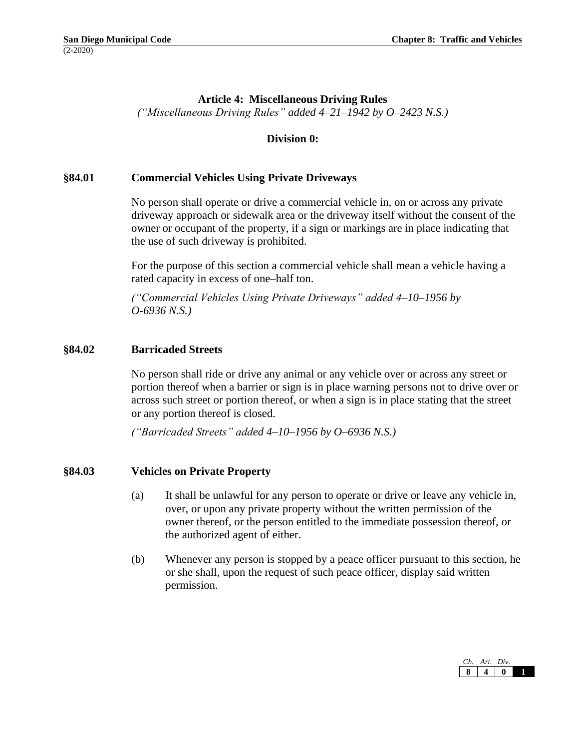## **Article 4: Miscellaneous Driving Rules**

*("Miscellaneous Driving Rules" added 4–21–1942 by O–2423 N.S.)*

### **Division 0:**

#### **§84.01 Commercial Vehicles Using Private Driveways**

No person shall operate or drive a commercial vehicle in, on or across any private driveway approach or sidewalk area or the driveway itself without the consent of the owner or occupant of the property, if a sign or markings are in place indicating that the use of such driveway is prohibited.

For the purpose of this section a commercial vehicle shall mean a vehicle having a rated capacity in excess of one–half ton.

*("Commercial Vehicles Using Private Driveways" added 4–10–1956 by O-6936 N.S.)*

#### **§84.02 Barricaded Streets**

No person shall ride or drive any animal or any vehicle over or across any street or portion thereof when a barrier or sign is in place warning persons not to drive over or across such street or portion thereof, or when a sign is in place stating that the street or any portion thereof is closed.

*("Barricaded Streets" added 4–10–1956 by O–6936 N.S.)*

#### **§84.03 Vehicles on Private Property**

- (a) It shall be unlawful for any person to operate or drive or leave any vehicle in, over, or upon any private property without the written permission of the owner thereof, or the person entitled to the immediate possession thereof, or the authorized agent of either.
- (b) Whenever any person is stopped by a peace officer pursuant to this section, he or she shall, upon the request of such peace officer, display said written permission.

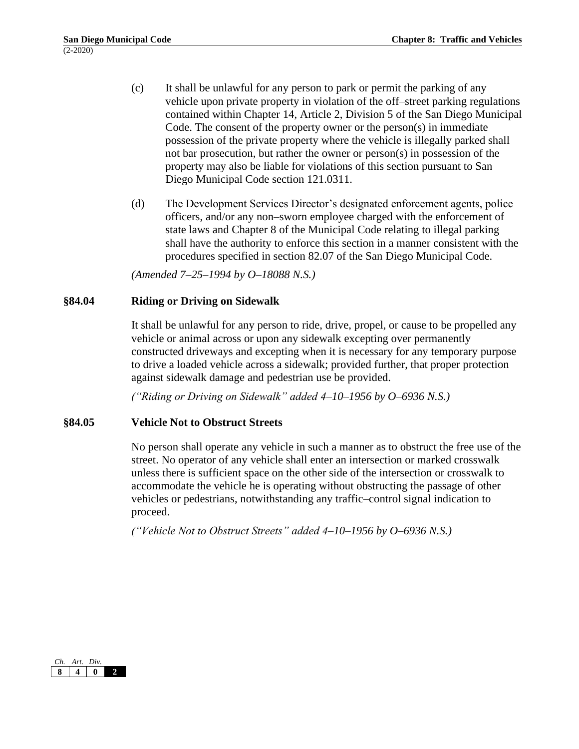- (c) It shall be unlawful for any person to park or permit the parking of any vehicle upon private property in violation of the off–street parking regulations contained within Chapter 14, Article 2, Division 5 of the San Diego Municipal Code. The consent of the property owner or the person(s) in immediate possession of the private property where the vehicle is illegally parked shall not bar prosecution, but rather the owner or person(s) in possession of the property may also be liable for violations of this section pursuant to San Diego Municipal Code section 121.0311.
- (d) The Development Services Director's designated enforcement agents, police officers, and/or any non–sworn employee charged with the enforcement of state laws and Chapter 8 of the Municipal Code relating to illegal parking shall have the authority to enforce this section in a manner consistent with the procedures specified in section 82.07 of the San Diego Municipal Code.

*(Amended 7–25–1994 by O–18088 N.S.)*

# **§84.04 Riding or Driving on Sidewalk**

It shall be unlawful for any person to ride, drive, propel, or cause to be propelled any vehicle or animal across or upon any sidewalk excepting over permanently constructed driveways and excepting when it is necessary for any temporary purpose to drive a loaded vehicle across a sidewalk; provided further, that proper protection against sidewalk damage and pedestrian use be provided.

*("Riding or Driving on Sidewalk" added 4–10–1956 by O–6936 N.S.)*

# **§84.05 Vehicle Not to Obstruct Streets**

No person shall operate any vehicle in such a manner as to obstruct the free use of the street. No operator of any vehicle shall enter an intersection or marked crosswalk unless there is sufficient space on the other side of the intersection or crosswalk to accommodate the vehicle he is operating without obstructing the passage of other vehicles or pedestrians, notwithstanding any traffic–control signal indication to proceed.

*("Vehicle Not to Obstruct Streets" added 4–10–1956 by O–6936 N.S.)*

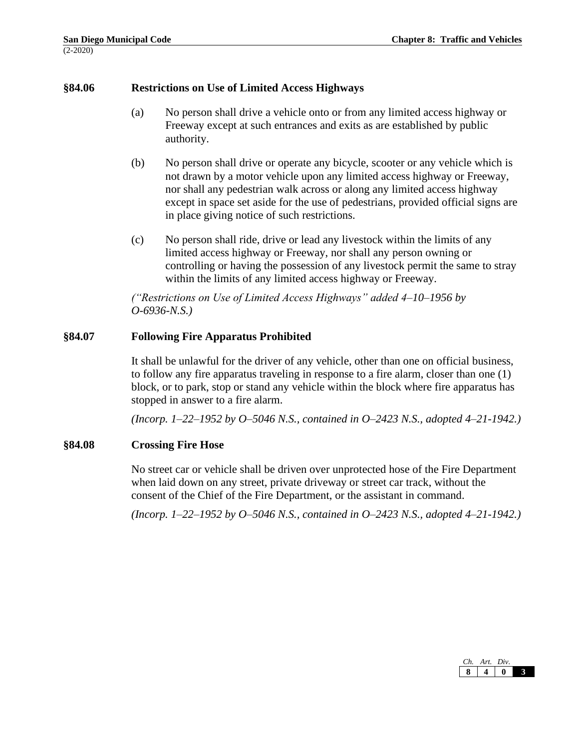# **§84.06 Restrictions on Use of Limited Access Highways**

- (a) No person shall drive a vehicle onto or from any limited access highway or Freeway except at such entrances and exits as are established by public authority.
- (b) No person shall drive or operate any bicycle, scooter or any vehicle which is not drawn by a motor vehicle upon any limited access highway or Freeway, nor shall any pedestrian walk across or along any limited access highway except in space set aside for the use of pedestrians, provided official signs are in place giving notice of such restrictions.
- (c) No person shall ride, drive or lead any livestock within the limits of any limited access highway or Freeway, nor shall any person owning or controlling or having the possession of any livestock permit the same to stray within the limits of any limited access highway or Freeway.

*("Restrictions on Use of Limited Access Highways" added 4–10–1956 by O-6936-N.S.)*

#### **§84.07 Following Fire Apparatus Prohibited**

It shall be unlawful for the driver of any vehicle, other than one on official business, to follow any fire apparatus traveling in response to a fire alarm, closer than one (1) block, or to park, stop or stand any vehicle within the block where fire apparatus has stopped in answer to a fire alarm.

*(Incorp. 1–22–1952 by O–5046 N.S., contained in O–2423 N.S., adopted 4–21-1942.)*

#### **§84.08 Crossing Fire Hose**

No street car or vehicle shall be driven over unprotected hose of the Fire Department when laid down on any street, private driveway or street car track, without the consent of the Chief of the Fire Department, or the assistant in command.

*(Incorp. 1–22–1952 by O–5046 N.S., contained in O–2423 N.S., adopted 4–21-1942.)*

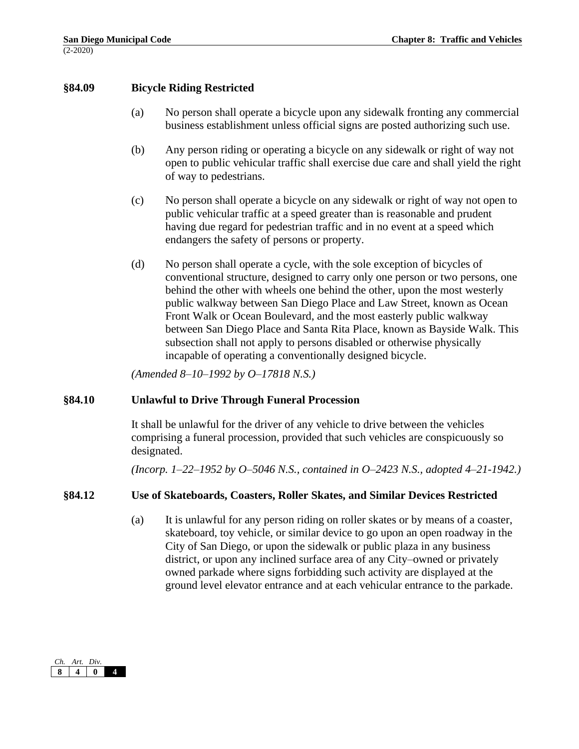### **§84.09 Bicycle Riding Restricted**

- (a) No person shall operate a bicycle upon any sidewalk fronting any commercial business establishment unless official signs are posted authorizing such use.
- (b) Any person riding or operating a bicycle on any sidewalk or right of way not open to public vehicular traffic shall exercise due care and shall yield the right of way to pedestrians.
- (c) No person shall operate a bicycle on any sidewalk or right of way not open to public vehicular traffic at a speed greater than is reasonable and prudent having due regard for pedestrian traffic and in no event at a speed which endangers the safety of persons or property.
- (d) No person shall operate a cycle, with the sole exception of bicycles of conventional structure, designed to carry only one person or two persons, one behind the other with wheels one behind the other, upon the most westerly public walkway between San Diego Place and Law Street, known as Ocean Front Walk or Ocean Boulevard, and the most easterly public walkway between San Diego Place and Santa Rita Place, known as Bayside Walk. This subsection shall not apply to persons disabled or otherwise physically incapable of operating a conventionally designed bicycle.

*(Amended 8–10–1992 by O–17818 N.S.)*

#### **§84.10 Unlawful to Drive Through Funeral Procession**

It shall be unlawful for the driver of any vehicle to drive between the vehicles comprising a funeral procession, provided that such vehicles are conspicuously so designated.

*(Incorp. 1–22–1952 by O–5046 N.S., contained in O–2423 N.S., adopted 4–21-1942.)*

#### **§84.12 Use of Skateboards, Coasters, Roller Skates, and Similar Devices Restricted**

(a) It is unlawful for any person riding on roller skates or by means of a coaster, skateboard, toy vehicle, or similar device to go upon an open roadway in the City of San Diego, or upon the sidewalk or public plaza in any business district, or upon any inclined surface area of any City–owned or privately owned parkade where signs forbidding such activity are displayed at the ground level elevator entrance and at each vehicular entrance to the parkade.

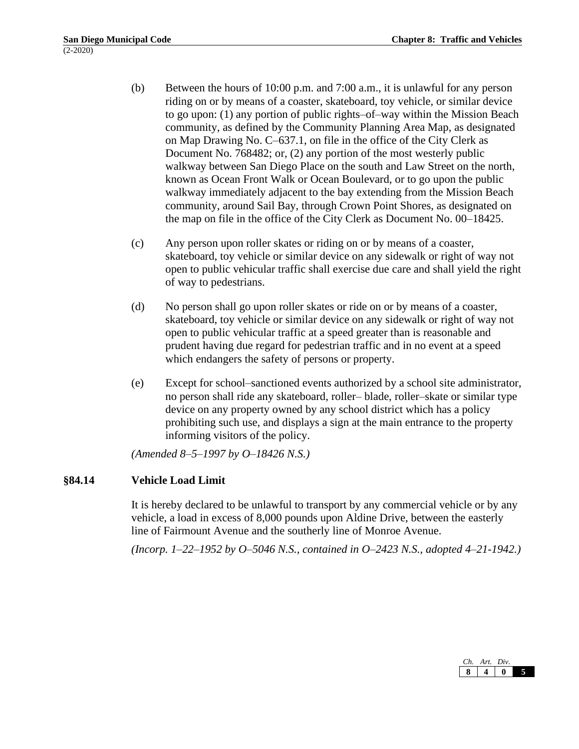- (b) Between the hours of 10:00 p.m. and 7:00 a.m., it is unlawful for any person riding on or by means of a coaster, skateboard, toy vehicle, or similar device to go upon: (1) any portion of public rights–of–way within the Mission Beach community, as defined by the Community Planning Area Map, as designated on Map Drawing No. C–637.1, on file in the office of the City Clerk as Document No. 768482; or, (2) any portion of the most westerly public walkway between San Diego Place on the south and Law Street on the north, known as Ocean Front Walk or Ocean Boulevard, or to go upon the public walkway immediately adjacent to the bay extending from the Mission Beach community, around Sail Bay, through Crown Point Shores, as designated on the map on file in the office of the City Clerk as Document No. 00–18425.
- (c) Any person upon roller skates or riding on or by means of a coaster, skateboard, toy vehicle or similar device on any sidewalk or right of way not open to public vehicular traffic shall exercise due care and shall yield the right of way to pedestrians.
- (d) No person shall go upon roller skates or ride on or by means of a coaster, skateboard, toy vehicle or similar device on any sidewalk or right of way not open to public vehicular traffic at a speed greater than is reasonable and prudent having due regard for pedestrian traffic and in no event at a speed which endangers the safety of persons or property.
- (e) Except for school–sanctioned events authorized by a school site administrator, no person shall ride any skateboard, roller– blade, roller–skate or similar type device on any property owned by any school district which has a policy prohibiting such use, and displays a sign at the main entrance to the property informing visitors of the policy.

*(Amended 8–5–1997 by O–18426 N.S.)*

# **§84.14 Vehicle Load Limit**

It is hereby declared to be unlawful to transport by any commercial vehicle or by any vehicle, a load in excess of 8,000 pounds upon Aldine Drive, between the easterly line of Fairmount Avenue and the southerly line of Monroe Avenue.

*(Incorp. 1–22–1952 by O–5046 N.S., contained in O–2423 N.S., adopted 4–21-1942.)*

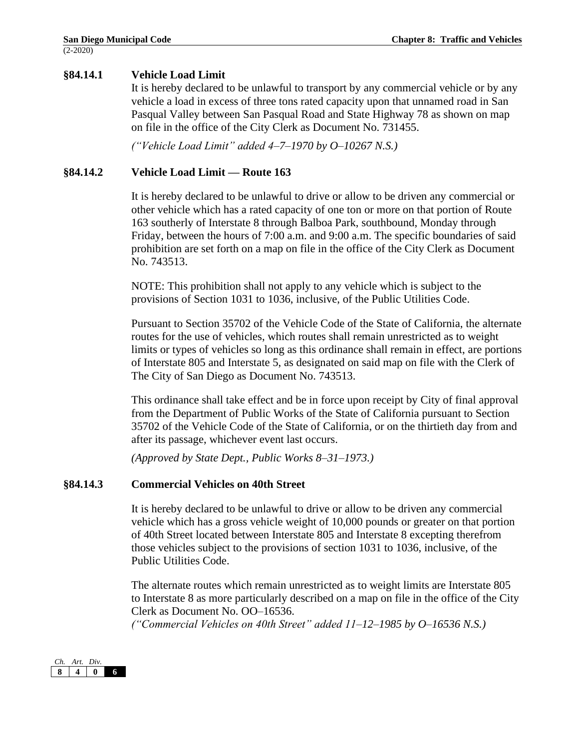# **§84.14.1 Vehicle Load Limit**

It is hereby declared to be unlawful to transport by any commercial vehicle or by any vehicle a load in excess of three tons rated capacity upon that unnamed road in San Pasqual Valley between San Pasqual Road and State Highway 78 as shown on map on file in the office of the City Clerk as Document No. 731455.

*("Vehicle Load Limit" added 4–7–1970 by O–10267 N.S.)*

# **§84.14.2 Vehicle Load Limit — Route 163**

It is hereby declared to be unlawful to drive or allow to be driven any commercial or other vehicle which has a rated capacity of one ton or more on that portion of Route 163 southerly of Interstate 8 through Balboa Park, southbound, Monday through Friday, between the hours of 7:00 a.m. and 9:00 a.m. The specific boundaries of said prohibition are set forth on a map on file in the office of the City Clerk as Document No. 743513.

NOTE: This prohibition shall not apply to any vehicle which is subject to the provisions of Section 1031 to 1036, inclusive, of the Public Utilities Code.

Pursuant to Section 35702 of the Vehicle Code of the State of California, the alternate routes for the use of vehicles, which routes shall remain unrestricted as to weight limits or types of vehicles so long as this ordinance shall remain in effect, are portions of Interstate 805 and Interstate 5, as designated on said map on file with the Clerk of The City of San Diego as Document No. 743513.

This ordinance shall take effect and be in force upon receipt by City of final approval from the Department of Public Works of the State of California pursuant to Section 35702 of the Vehicle Code of the State of California, or on the thirtieth day from and after its passage, whichever event last occurs.

*(Approved by State Dept., Public Works 8–31–1973.)*

# **§84.14.3 Commercial Vehicles on 40th Street**

It is hereby declared to be unlawful to drive or allow to be driven any commercial vehicle which has a gross vehicle weight of 10,000 pounds or greater on that portion of 40th Street located between Interstate 805 and Interstate 8 excepting therefrom those vehicles subject to the provisions of section 1031 to 1036, inclusive, of the Public Utilities Code.

The alternate routes which remain unrestricted as to weight limits are Interstate 805 to Interstate 8 as more particularly described on a map on file in the office of the City Clerk as Document No. OO–16536.

*("Commercial Vehicles on 40th Street" added 11–12–1985 by O–16536 N.S.)*

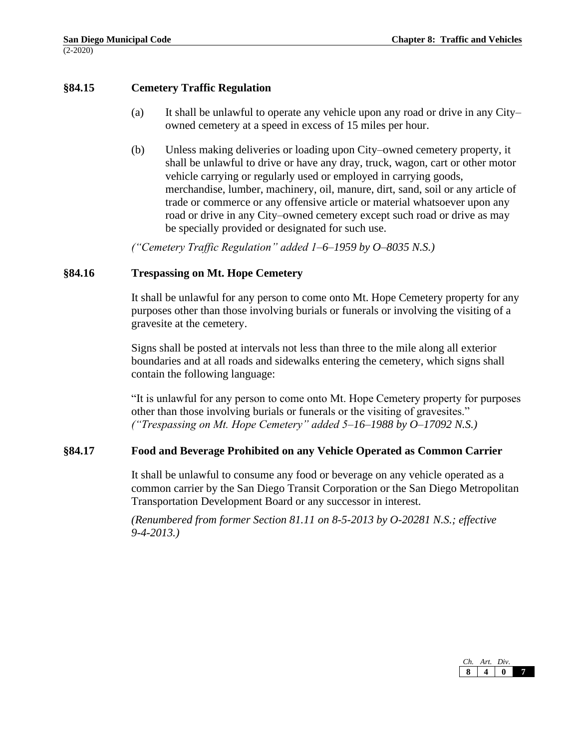# **§84.15 Cemetery Traffic Regulation**

- (a) It shall be unlawful to operate any vehicle upon any road or drive in any City– owned cemetery at a speed in excess of 15 miles per hour.
- (b) Unless making deliveries or loading upon City–owned cemetery property, it shall be unlawful to drive or have any dray, truck, wagon, cart or other motor vehicle carrying or regularly used or employed in carrying goods, merchandise, lumber, machinery, oil, manure, dirt, sand, soil or any article of trade or commerce or any offensive article or material whatsoever upon any road or drive in any City–owned cemetery except such road or drive as may be specially provided or designated for such use.

*("Cemetery Traffic Regulation" added 1–6–1959 by O–8035 N.S.)*

### **§84.16 Trespassing on Mt. Hope Cemetery**

It shall be unlawful for any person to come onto Mt. Hope Cemetery property for any purposes other than those involving burials or funerals or involving the visiting of a gravesite at the cemetery.

Signs shall be posted at intervals not less than three to the mile along all exterior boundaries and at all roads and sidewalks entering the cemetery, which signs shall contain the following language:

"It is unlawful for any person to come onto Mt. Hope Cemetery property for purposes other than those involving burials or funerals or the visiting of gravesites." *("Trespassing on Mt. Hope Cemetery" added 5–16–1988 by O–17092 N.S.)*

#### **§84.17 Food and Beverage Prohibited on any Vehicle Operated as Common Carrier**

It shall be unlawful to consume any food or beverage on any vehicle operated as a common carrier by the San Diego Transit Corporation or the San Diego Metropolitan Transportation Development Board or any successor in interest.

*(Renumbered from former Section 81.11 on 8-5-2013 by O-20281 N.S.; effective 9-4-2013.)*